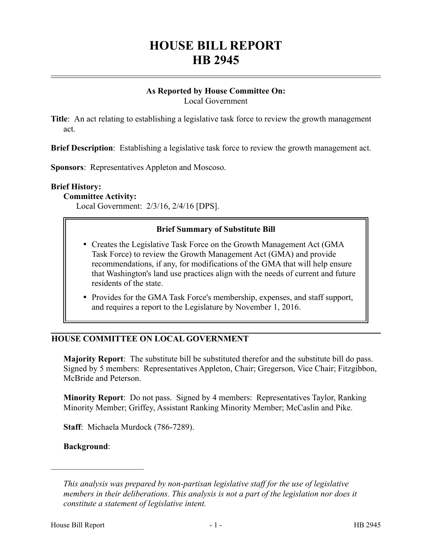# **HOUSE BILL REPORT HB 2945**

#### **As Reported by House Committee On:** Local Government

**Title**: An act relating to establishing a legislative task force to review the growth management act.

**Brief Description**: Establishing a legislative task force to review the growth management act.

**Sponsors**: Representatives Appleton and Moscoso.

#### **Brief History:**

**Committee Activity:**

Local Government: 2/3/16, 2/4/16 [DPS].

#### **Brief Summary of Substitute Bill**

- Creates the Legislative Task Force on the Growth Management Act (GMA Task Force) to review the Growth Management Act (GMA) and provide recommendations, if any, for modifications of the GMA that will help ensure that Washington's land use practices align with the needs of current and future residents of the state.
- Provides for the GMA Task Force's membership, expenses, and staff support, and requires a report to the Legislature by November 1, 2016.

## **HOUSE COMMITTEE ON LOCAL GOVERNMENT**

**Majority Report**: The substitute bill be substituted therefor and the substitute bill do pass. Signed by 5 members: Representatives Appleton, Chair; Gregerson, Vice Chair; Fitzgibbon, McBride and Peterson.

**Minority Report**: Do not pass. Signed by 4 members: Representatives Taylor, Ranking Minority Member; Griffey, Assistant Ranking Minority Member; McCaslin and Pike.

**Staff**: Michaela Murdock (786-7289).

#### **Background**:

––––––––––––––––––––––

*This analysis was prepared by non-partisan legislative staff for the use of legislative members in their deliberations. This analysis is not a part of the legislation nor does it constitute a statement of legislative intent.*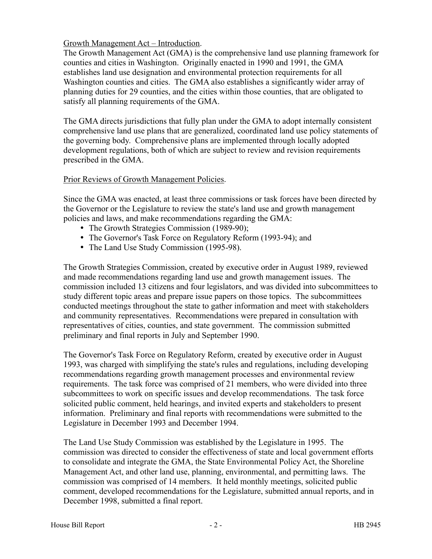## Growth Management Act – Introduction.

The Growth Management Act (GMA) is the comprehensive land use planning framework for counties and cities in Washington. Originally enacted in 1990 and 1991, the GMA establishes land use designation and environmental protection requirements for all Washington counties and cities. The GMA also establishes a significantly wider array of planning duties for 29 counties, and the cities within those counties, that are obligated to satisfy all planning requirements of the GMA.

The GMA directs jurisdictions that fully plan under the GMA to adopt internally consistent comprehensive land use plans that are generalized, coordinated land use policy statements of the governing body. Comprehensive plans are implemented through locally adopted development regulations, both of which are subject to review and revision requirements prescribed in the GMA.

## Prior Reviews of Growth Management Policies.

Since the GMA was enacted, at least three commissions or task forces have been directed by the Governor or the Legislature to review the state's land use and growth management policies and laws, and make recommendations regarding the GMA:

- The Growth Strategies Commission (1989-90);
- The Governor's Task Force on Regulatory Reform (1993-94); and
- The Land Use Study Commission (1995-98).

The Growth Strategies Commission, created by executive order in August 1989, reviewed and made recommendations regarding land use and growth management issues. The commission included 13 citizens and four legislators, and was divided into subcommittees to study different topic areas and prepare issue papers on those topics. The subcommittees conducted meetings throughout the state to gather information and meet with stakeholders and community representatives. Recommendations were prepared in consultation with representatives of cities, counties, and state government. The commission submitted preliminary and final reports in July and September 1990.

The Governor's Task Force on Regulatory Reform, created by executive order in August 1993, was charged with simplifying the state's rules and regulations, including developing recommendations regarding growth management processes and environmental review requirements. The task force was comprised of 21 members, who were divided into three subcommittees to work on specific issues and develop recommendations. The task force solicited public comment, held hearings, and invited experts and stakeholders to present information. Preliminary and final reports with recommendations were submitted to the Legislature in December 1993 and December 1994.

The Land Use Study Commission was established by the Legislature in 1995. The commission was directed to consider the effectiveness of state and local government efforts to consolidate and integrate the GMA, the State Environmental Policy Act, the Shoreline Management Act, and other land use, planning, environmental, and permitting laws. The commission was comprised of 14 members. It held monthly meetings, solicited public comment, developed recommendations for the Legislature, submitted annual reports, and in December 1998, submitted a final report.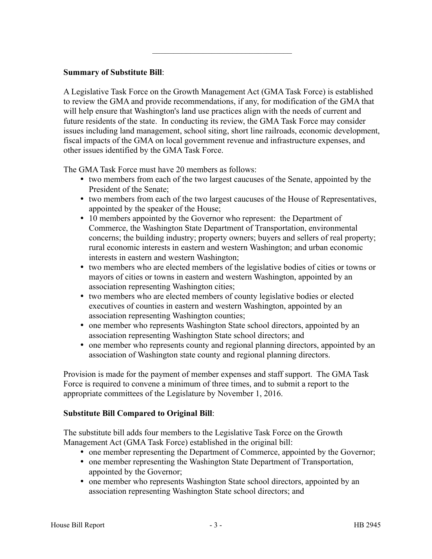## **Summary of Substitute Bill**:

A Legislative Task Force on the Growth Management Act (GMA Task Force) is established to review the GMA and provide recommendations, if any, for modification of the GMA that will help ensure that Washington's land use practices align with the needs of current and future residents of the state. In conducting its review, the GMA Task Force may consider issues including land management, school siting, short line railroads, economic development, fiscal impacts of the GMA on local government revenue and infrastructure expenses, and other issues identified by the GMA Task Force.

–––––––––––––––––––––––––––––––––

The GMA Task Force must have 20 members as follows:

- two members from each of the two largest caucuses of the Senate, appointed by the President of the Senate;
- two members from each of the two largest caucuses of the House of Representatives, appointed by the speaker of the House;
- 10 members appointed by the Governor who represent: the Department of Commerce, the Washington State Department of Transportation, environmental concerns; the building industry; property owners; buyers and sellers of real property; rural economic interests in eastern and western Washington; and urban economic interests in eastern and western Washington;
- two members who are elected members of the legislative bodies of cities or towns or mayors of cities or towns in eastern and western Washington, appointed by an association representing Washington cities;
- two members who are elected members of county legislative bodies or elected executives of counties in eastern and western Washington, appointed by an association representing Washington counties;
- one member who represents Washington State school directors, appointed by an association representing Washington State school directors; and
- one member who represents county and regional planning directors, appointed by an association of Washington state county and regional planning directors.

Provision is made for the payment of member expenses and staff support. The GMA Task Force is required to convene a minimum of three times, and to submit a report to the appropriate committees of the Legislature by November 1, 2016.

## **Substitute Bill Compared to Original Bill**:

The substitute bill adds four members to the Legislative Task Force on the Growth Management Act (GMA Task Force) established in the original bill:

- one member representing the Department of Commerce, appointed by the Governor;
- one member representing the Washington State Department of Transportation, appointed by the Governor;
- one member who represents Washington State school directors, appointed by an association representing Washington State school directors; and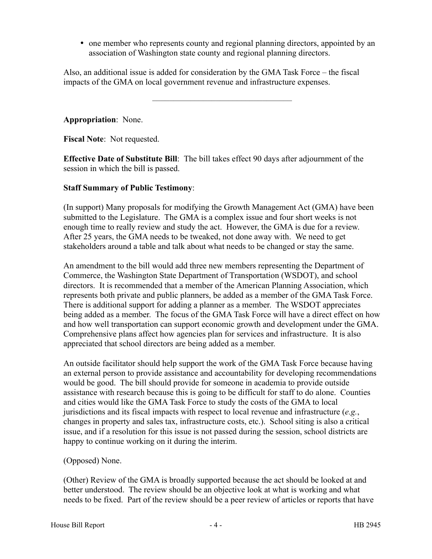one member who represents county and regional planning directors, appointed by an association of Washington state county and regional planning directors.

Also, an additional issue is added for consideration by the GMA Task Force – the fiscal impacts of the GMA on local government revenue and infrastructure expenses.

–––––––––––––––––––––––––––––––––

**Appropriation**: None.

**Fiscal Note**: Not requested.

**Effective Date of Substitute Bill**: The bill takes effect 90 days after adjournment of the session in which the bill is passed.

#### **Staff Summary of Public Testimony**:

(In support) Many proposals for modifying the Growth Management Act (GMA) have been submitted to the Legislature. The GMA is a complex issue and four short weeks is not enough time to really review and study the act. However, the GMA is due for a review. After 25 years, the GMA needs to be tweaked, not done away with. We need to get stakeholders around a table and talk about what needs to be changed or stay the same.

An amendment to the bill would add three new members representing the Department of Commerce, the Washington State Department of Transportation (WSDOT), and school directors. It is recommended that a member of the American Planning Association, which represents both private and public planners, be added as a member of the GMA Task Force. There is additional support for adding a planner as a member. The WSDOT appreciates being added as a member. The focus of the GMA Task Force will have a direct effect on how and how well transportation can support economic growth and development under the GMA. Comprehensive plans affect how agencies plan for services and infrastructure. It is also appreciated that school directors are being added as a member.

An outside facilitator should help support the work of the GMA Task Force because having an external person to provide assistance and accountability for developing recommendations would be good. The bill should provide for someone in academia to provide outside assistance with research because this is going to be difficult for staff to do alone. Counties and cities would like the GMA Task Force to study the costs of the GMA to local jurisdictions and its fiscal impacts with respect to local revenue and infrastructure (*e.g.*, changes in property and sales tax, infrastructure costs, etc.). School siting is also a critical issue, and if a resolution for this issue is not passed during the session, school districts are happy to continue working on it during the interim.

## (Opposed) None.

(Other) Review of the GMA is broadly supported because the act should be looked at and better understood. The review should be an objective look at what is working and what needs to be fixed. Part of the review should be a peer review of articles or reports that have